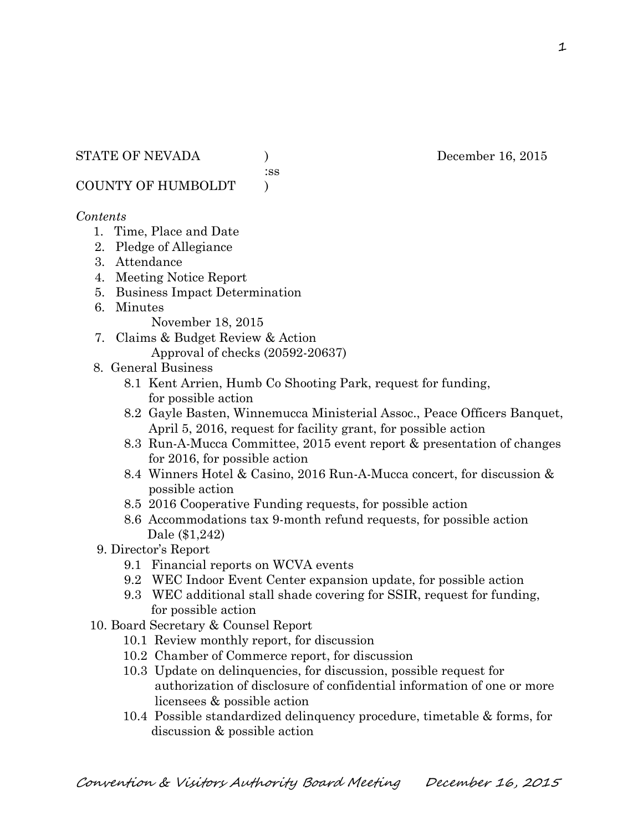:ss

COUNTY OF HUMBOLDT )

### *Contents*

- 1. Time, Place and Date
- 2. Pledge of Allegiance
- 3. Attendance
- 4. Meeting Notice Report
- 5. Business Impact Determination
- 6. Minutes

November 18, 2015

- 7. Claims & Budget Review & Action Approval of checks (20592-20637)
- 8. General Business
	- 8.1 Kent Arrien, Humb Co Shooting Park, request for funding, for possible action
	- 8.2 Gayle Basten, Winnemucca Ministerial Assoc., Peace Officers Banquet, April 5, 2016, request for facility grant, for possible action
	- 8.3 Run-A-Mucca Committee, 2015 event report & presentation of changes for 2016, for possible action
	- 8.4 Winners Hotel & Casino, 2016 Run-A-Mucca concert, for discussion & possible action
	- 8.5 2016 Cooperative Funding requests, for possible action
	- 8.6 Accommodations tax 9-month refund requests, for possible action Dale (\$1,242)
- 9. Director's Report
	- 9.1 Financial reports on WCVA events
	- 9.2 WEC Indoor Event Center expansion update, for possible action
	- 9.3 WEC additional stall shade covering for SSIR, request for funding, for possible action
- 10. Board Secretary & Counsel Report
	- 10.1 Review monthly report, for discussion
	- 10.2 Chamber of Commerce report, for discussion
	- 10.3 Update on delinquencies, for discussion, possible request for authorization of disclosure of confidential information of one or more licensees & possible action
	- 10.4 Possible standardized delinquency procedure, timetable & forms, for discussion & possible action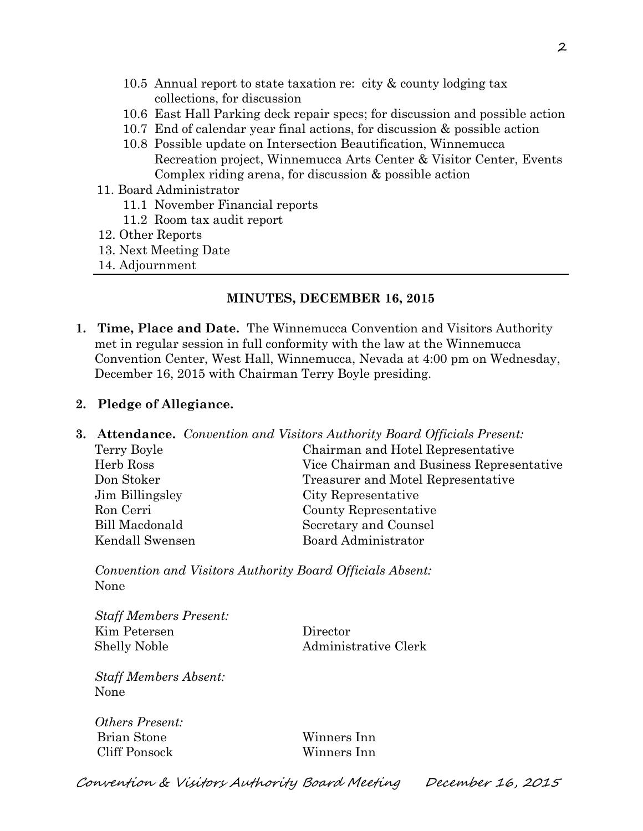- 10.5 Annual report to state taxation re: city & county lodging tax collections, for discussion
- 10.6 East Hall Parking deck repair specs; for discussion and possible action
- 10.7 End of calendar year final actions, for discussion & possible action
- 10.8 Possible update on Intersection Beautification, Winnemucca Recreation project, Winnemucca Arts Center & Visitor Center, Events Complex riding arena, for discussion & possible action
- 11. Board Administrator
	- 11.1 November Financial reports
	- 11.2 Room tax audit report
- 12. Other Reports
- 13. Next Meeting Date
- 14. Adjournment

#### **MINUTES, DECEMBER 16, 2015**

**1. Time, Place and Date.** The Winnemucca Convention and Visitors Authority met in regular session in full conformity with the law at the Winnemucca Convention Center, West Hall, Winnemucca, Nevada at 4:00 pm on Wednesday, December 16, 2015 with Chairman Terry Boyle presiding.

#### **2. Pledge of Allegiance.**

**3. Attendance.** *Convention and Visitors Authority Board Officials Present:*  Terry Boyle Chairman and Hotel Representative Herb Ross Vice Chairman and Business Representative Don Stoker Treasurer and Motel Representative Jim Billingsley City Representative Ron Cerri County Representative Bill Macdonald Secretary and Counsel Kendall Swensen Board Administrator

*Convention and Visitors Authority Board Officials Absent:*  None

*Staff Members Present:*  Kim Petersen Director Shelly Noble Administrative Clerk

*Staff Members Absent:*  None

*Others Present:*  Brian Stone Winners Inn Cliff Ponsock Winners Inn

Convention & Visitors Authority Board Meeting December 16, 2015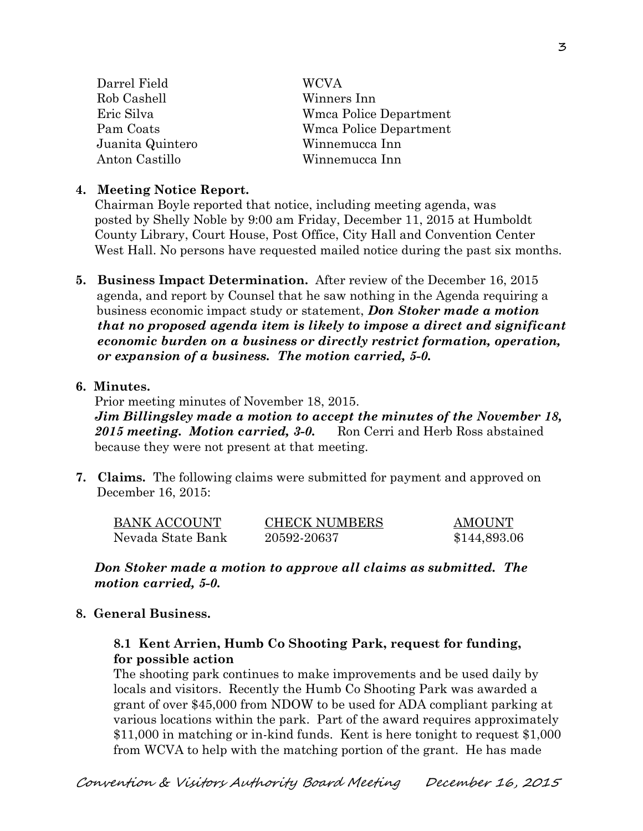| Darrel Field     | <b>WCVA</b>                   |
|------------------|-------------------------------|
| Rob Cashell      | Winners Inn                   |
| Eric Silva       | Wmca Police Department        |
| Pam Coats        | <b>Wmca Police Department</b> |
| Juanita Quintero | Winnemucca Inn                |
| Anton Castillo   | Winnemucca Inn                |

### **4. Meeting Notice Report.**

Chairman Boyle reported that notice, including meeting agenda, was posted by Shelly Noble by 9:00 am Friday, December 11, 2015 at Humboldt County Library, Court House, Post Office, City Hall and Convention Center West Hall. No persons have requested mailed notice during the past six months.

**5. Business Impact Determination.** After review of the December 16, 2015 agenda, and report by Counsel that he saw nothing in the Agenda requiring a business economic impact study or statement, *Don Stoker made a motion that no proposed agenda item is likely to impose a direct and significant economic burden on a business or directly restrict formation, operation, or expansion of a business. The motion carried, 5-0.* 

### **6. Minutes.**

Prior meeting minutes of November 18, 2015.

*Jim Billingsley made a motion to accept the minutes of the November 18,*  2015 meeting. Motion carried, 3-0. Ron Cerri and Herb Ross abstained because they were not present at that meeting.

**7. Claims.** The following claims were submitted for payment and approved on December 16, 2015:

| <b>BANK ACCOUNT</b> | <b>CHECK NUMBERS</b> | <b>AMOUNT</b> |
|---------------------|----------------------|---------------|
| Nevada State Bank   | 20592-20637          | \$144,893.06  |

*Don Stoker made a motion to approve all claims as submitted. The motion carried, 5-0.* 

### **8. General Business.**

## **8.1 Kent Arrien, Humb Co Shooting Park, request for funding, for possible action**

The shooting park continues to make improvements and be used daily by locals and visitors. Recently the Humb Co Shooting Park was awarded a grant of over \$45,000 from NDOW to be used for ADA compliant parking at various locations within the park. Part of the award requires approximately \$11,000 in matching or in-kind funds. Kent is here tonight to request \$1,000 from WCVA to help with the matching portion of the grant. He has made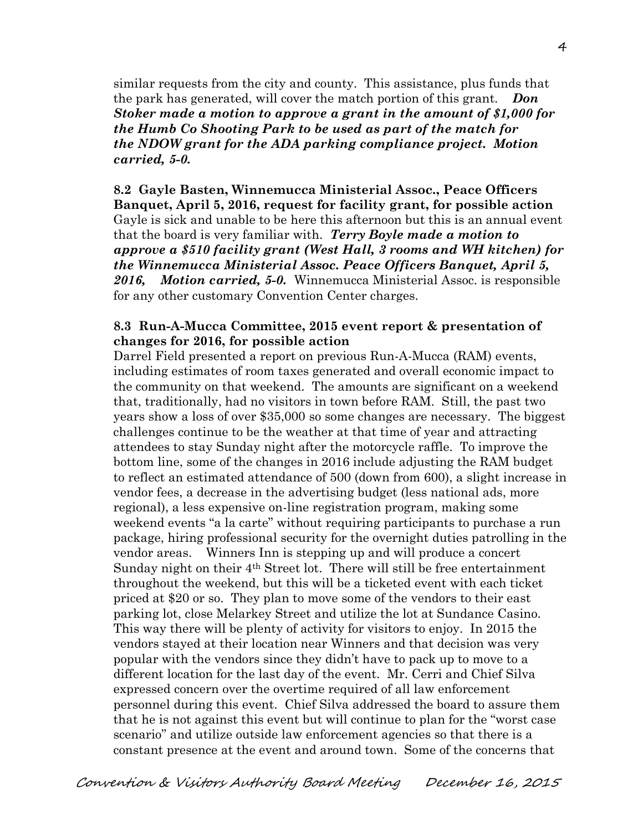similar requests from the city and county. This assistance, plus funds that the park has generated, will cover the match portion of this grant. *Don Stoker made a motion to approve a grant in the amount of \$1,000 for the Humb Co Shooting Park to be used as part of the match for the NDOW grant for the ADA parking compliance project. Motion carried, 5-0.*

**8.2 Gayle Basten, Winnemucca Ministerial Assoc., Peace Officers Banquet, April 5, 2016, request for facility grant, for possible action**  Gayle is sick and unable to be here this afternoon but this is an annual event that the board is very familiar with. *Terry Boyle made a motion to approve a \$510 facility grant (West Hall, 3 rooms and WH kitchen) for the Winnemucca Ministerial Assoc. Peace Officers Banquet, April 5, 2016, Motion carried, 5-0.* Winnemucca Ministerial Assoc. is responsible for any other customary Convention Center charges.

#### **8.3 Run-A-Mucca Committee, 2015 event report & presentation of changes for 2016, for possible action**

Darrel Field presented a report on previous Run-A-Mucca (RAM) events, including estimates of room taxes generated and overall economic impact to the community on that weekend. The amounts are significant on a weekend that, traditionally, had no visitors in town before RAM. Still, the past two years show a loss of over \$35,000 so some changes are necessary. The biggest challenges continue to be the weather at that time of year and attracting attendees to stay Sunday night after the motorcycle raffle. To improve the bottom line, some of the changes in 2016 include adjusting the RAM budget to reflect an estimated attendance of 500 (down from 600), a slight increase in vendor fees, a decrease in the advertising budget (less national ads, more regional), a less expensive on-line registration program, making some weekend events "a la carte" without requiring participants to purchase a run package, hiring professional security for the overnight duties patrolling in the vendor areas. Winners Inn is stepping up and will produce a concert Sunday night on their 4th Street lot. There will still be free entertainment throughout the weekend, but this will be a ticketed event with each ticket priced at \$20 or so. They plan to move some of the vendors to their east parking lot, close Melarkey Street and utilize the lot at Sundance Casino. This way there will be plenty of activity for visitors to enjoy. In 2015 the vendors stayed at their location near Winners and that decision was very popular with the vendors since they didn't have to pack up to move to a different location for the last day of the event. Mr. Cerri and Chief Silva expressed concern over the overtime required of all law enforcement personnel during this event. Chief Silva addressed the board to assure them that he is not against this event but will continue to plan for the "worst case scenario" and utilize outside law enforcement agencies so that there is a constant presence at the event and around town. Some of the concerns that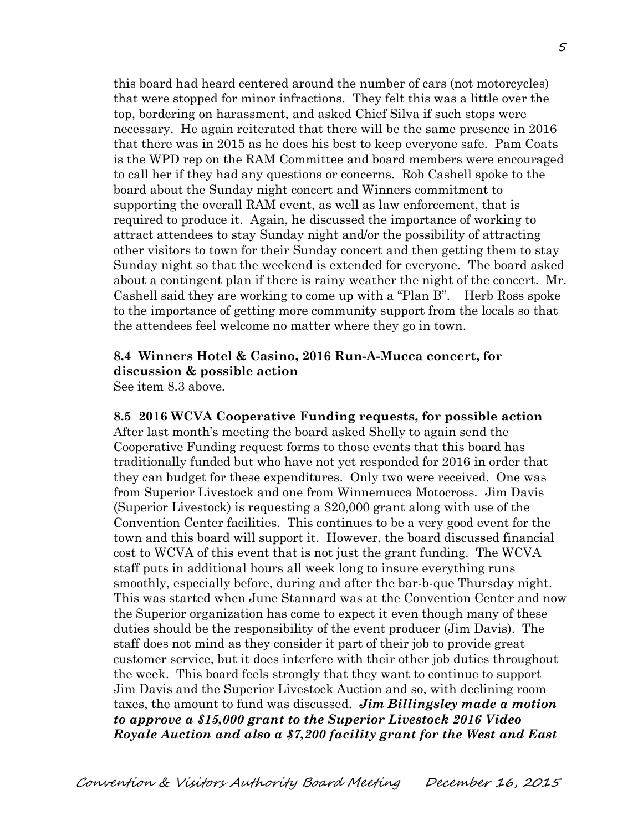this board had heard centered around the number of cars (not motorcycles) that were stopped for minor infractions. They felt this was a little over the top, bordering on harassment, and asked Chief Silva if such stops were necessary. He again reiterated that there will be the same presence in 2016 that there was in 2015 as he does his best to keep everyone safe. Pam Coats is the WPD rep on the RAM Committee and board members were encouraged to call her if they had any questions or concerns. Rob Cashell spoke to the board about the Sunday night concert and Winners commitment to supporting the overall RAM event, as well as law enforcement, that is required to produce it. Again, he discussed the importance of working to attract attendees to stay Sunday night and/or the possibility of attracting other visitors to town for their Sunday concert and then getting them to stay Sunday night so that the weekend is extended for everyone. The board asked about a contingent plan if there is rainy weather the night of the concert. Mr. Cashell said they are working to come up with a "Plan B". Herb Ross spoke to the importance of getting more community support from the locals so that the attendees feel welcome no matter where they go in town.

## **8.4 Winners Hotel & Casino, 2016 Run-A-Mucca concert, for discussion & possible action**

See item 8.3 above.

**8.5 2016 WCVA Cooperative Funding requests, for possible action**  After last month's meeting the board asked Shelly to again send the Cooperative Funding request forms to those events that this board has traditionally funded but who have not yet responded for 2016 in order that they can budget for these expenditures. Only two were received. One was from Superior Livestock and one from Winnemucca Motocross. Jim Davis (Superior Livestock) is requesting a \$20,000 grant along with use of the Convention Center facilities. This continues to be a very good event for the town and this board will support it. However, the board discussed financial cost to WCVA of this event that is not just the grant funding. The WCVA staff puts in additional hours all week long to insure everything runs smoothly, especially before, during and after the bar-b-que Thursday night. This was started when June Stannard was at the Convention Center and now the Superior organization has come to expect it even though many of these duties should be the responsibility of the event producer (Jim Davis). The staff does not mind as they consider it part of their job to provide great customer service, but it does interfere with their other job duties throughout the week. This board feels strongly that they want to continue to support Jim Davis and the Superior Livestock Auction and so, with declining room taxes, the amount to fund was discussed. *Jim Billingsley made a motion to approve a \$15,000 grant to the Superior Livestock 2016 Video Royale Auction and also a \$7,200 facility grant for the West and East*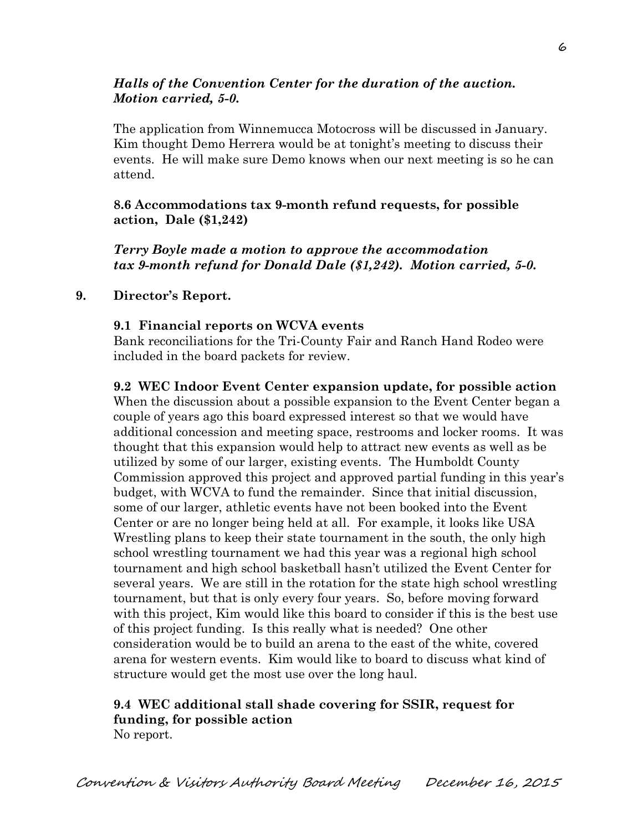## *Halls of the Convention Center for the duration of the auction. Motion carried, 5-0.*

The application from Winnemucca Motocross will be discussed in January. Kim thought Demo Herrera would be at tonight's meeting to discuss their events. He will make sure Demo knows when our next meeting is so he can attend.

**8.6 Accommodations tax 9-month refund requests, for possible action, Dale (\$1,242)** 

*Terry Boyle made a motion to approve the accommodation tax 9-month refund for Donald Dale (\$1,242). Motion carried, 5-0.*

### **9. Director's Report.**

### **9.1 Financial reports on WCVA events**

Bank reconciliations for the Tri-County Fair and Ranch Hand Rodeo were included in the board packets for review.

**9.2 WEC Indoor Event Center expansion update, for possible action**  When the discussion about a possible expansion to the Event Center began a couple of years ago this board expressed interest so that we would have additional concession and meeting space, restrooms and locker rooms. It was thought that this expansion would help to attract new events as well as be utilized by some of our larger, existing events. The Humboldt County Commission approved this project and approved partial funding in this year's budget, with WCVA to fund the remainder. Since that initial discussion, some of our larger, athletic events have not been booked into the Event Center or are no longer being held at all. For example, it looks like USA Wrestling plans to keep their state tournament in the south, the only high school wrestling tournament we had this year was a regional high school tournament and high school basketball hasn't utilized the Event Center for several years. We are still in the rotation for the state high school wrestling tournament, but that is only every four years. So, before moving forward with this project, Kim would like this board to consider if this is the best use of this project funding. Is this really what is needed? One other consideration would be to build an arena to the east of the white, covered arena for western events. Kim would like to board to discuss what kind of structure would get the most use over the long haul.

### **9.4 WEC additional stall shade covering for SSIR, request for funding, for possible action**  No report.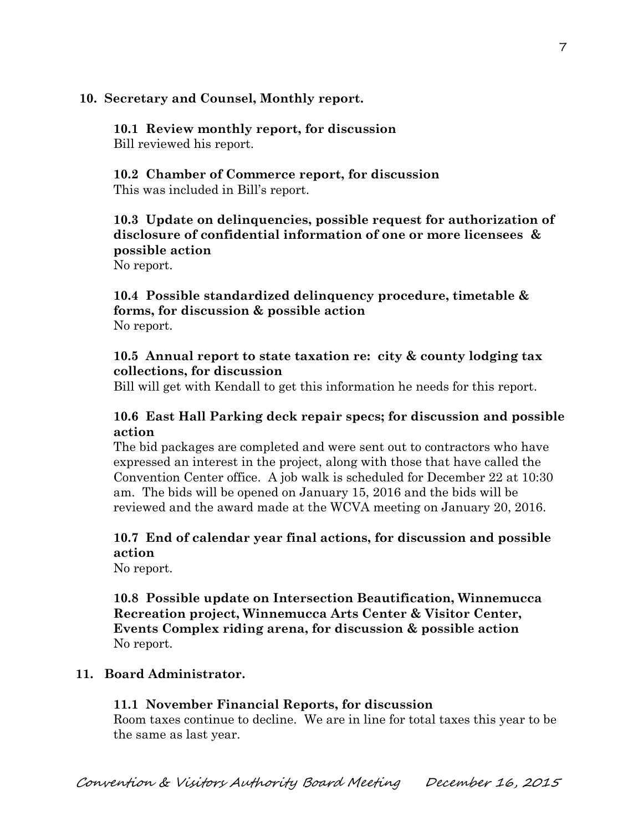### **10. Secretary and Counsel, Monthly report.**

**10.1 Review monthly report, for discussion**  Bill reviewed his report.

**10.2 Chamber of Commerce report, for discussion**  This was included in Bill's report.

## **10.3 Update on delinquencies, possible request for authorization of disclosure of confidential information of one or more licensees & possible action**

No report.

### **10.4 Possible standardized delinquency procedure, timetable & forms, for discussion & possible action**  No report.

## **10.5 Annual report to state taxation re: city & county lodging tax collections, for discussion**

Bill will get with Kendall to get this information he needs for this report.

## **10.6 East Hall Parking deck repair specs; for discussion and possible action**

The bid packages are completed and were sent out to contractors who have expressed an interest in the project, along with those that have called the Convention Center office. A job walk is scheduled for December 22 at 10:30 am. The bids will be opened on January 15, 2016 and the bids will be reviewed and the award made at the WCVA meeting on January 20, 2016.

# **10.7 End of calendar year final actions, for discussion and possible action**

No report.

## **10.8 Possible update on Intersection Beautification, Winnemucca Recreation project, Winnemucca Arts Center & Visitor Center, Events Complex riding arena, for discussion & possible action**  No report.

# **11. Board Administrator.**

## **11.1 November Financial Reports, for discussion**

Room taxes continue to decline. We are in line for total taxes this year to be the same as last year.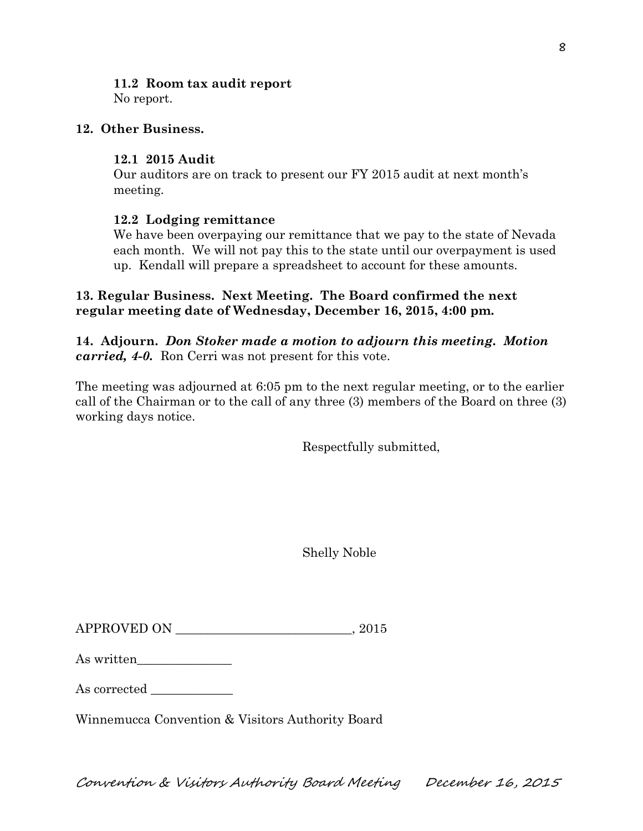## **11.2 Room tax audit report**

No report.

## **12. Other Business.**

### **12.1 2015 Audit**

Our auditors are on track to present our FY 2015 audit at next month's meeting.

## **12.2 Lodging remittance**

We have been overpaying our remittance that we pay to the state of Nevada each month. We will not pay this to the state until our overpayment is used up. Kendall will prepare a spreadsheet to account for these amounts.

## **13. Regular Business. Next Meeting. The Board confirmed the next regular meeting date of Wednesday, December 16, 2015, 4:00 pm.**

**14. Adjourn.** *Don Stoker made a motion to adjourn this meeting. Motion carried, 4-0.* Ron Cerri was not present for this vote.

The meeting was adjourned at 6:05 pm to the next regular meeting, or to the earlier call of the Chairman or to the call of any three (3) members of the Board on three (3) working days notice.

Respectfully submitted,

Shelly Noble

 $APPROVED ON$   $.2015$ 

| As written |  |
|------------|--|
|------------|--|

As corrected

Winnemucca Convention & Visitors Authority Board

Convention & Visitors Authority Board Meeting December 16, 2015